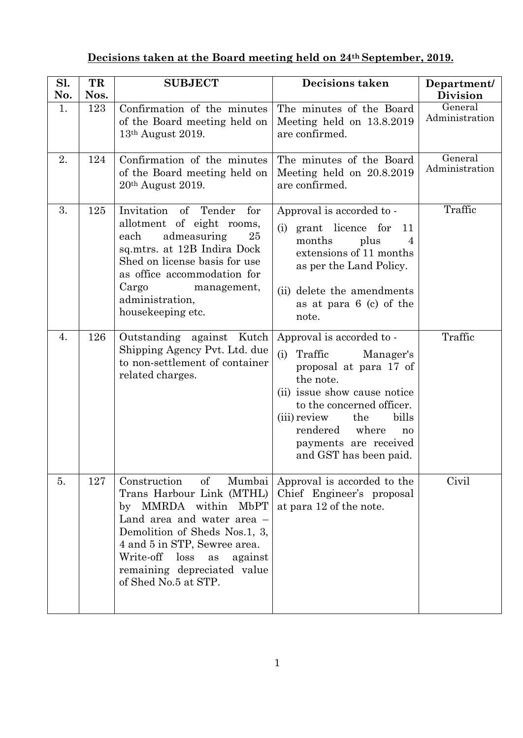## **Decisions taken at the Board meeting held on 24th September, 2019.**

| Sl.       | TR          | <b>SUBJECT</b>                                                                                                                                                                                                                                                                     | Decisions taken                                                                                                                                                                                                                                                         | Department/                                         |
|-----------|-------------|------------------------------------------------------------------------------------------------------------------------------------------------------------------------------------------------------------------------------------------------------------------------------------|-------------------------------------------------------------------------------------------------------------------------------------------------------------------------------------------------------------------------------------------------------------------------|-----------------------------------------------------|
| No.<br>1. | Nos.<br>123 | Confirmation of the minutes<br>of the Board meeting held on<br>13th August 2019.                                                                                                                                                                                                   | The minutes of the Board<br>Meeting held on 13.8.2019<br>are confirmed.                                                                                                                                                                                                 | Division<br>$\overline{G}$ eneral<br>Administration |
| 2.        | 124         | Confirmation of the minutes<br>of the Board meeting held on<br>$20th$ August 2019.                                                                                                                                                                                                 | The minutes of the Board<br>Meeting held on 20.8.2019<br>are confirmed.                                                                                                                                                                                                 | General<br>Administration                           |
| 3.        | 125         | Invitation of Tender<br>for<br>allotment of eight rooms,<br>admeasuring<br>each<br>25<br>sq.mtrs. at 12B Indira Dock<br>Shed on license basis for use<br>as office accommodation for<br>Cargo<br>management,<br>administration,<br>housekeeping etc.                               | Approval is accorded to -<br>grant licence for<br>(i)<br>11<br>plus<br>months<br>extensions of 11 months<br>as per the Land Policy.<br>(ii) delete the amendments<br>as at para 6 (c) of the<br>note.                                                                   | Traffic                                             |
| 4.        | 126         | Outstanding against Kutch<br>Shipping Agency Pvt. Ltd. due<br>to non-settlement of container<br>related charges.                                                                                                                                                                   | Approval is accorded to -<br>(i) Traffic<br>Manager's<br>proposal at para 17 of<br>the note.<br>(ii) issue show cause notice<br>to the concerned officer.<br>(iii) review<br>the<br>bills<br>rendered<br>where<br>no<br>payments are received<br>and GST has been paid. | Traffic                                             |
| 5.        | 127         | Construction<br>$\sigma f$<br>Mumbai<br>Trans Harbour Link (MTHL)<br>by MMRDA within MbPT<br>Land area and water area –<br>Demolition of Sheds Nos.1, 3,<br>4 and 5 in STP, Sewree area.<br>Write-off loss<br>as<br>against<br>remaining depreciated value<br>of Shed No.5 at STP. | Approval is accorded to the<br>Chief Engineer's proposal<br>at para 12 of the note.                                                                                                                                                                                     | Civil                                               |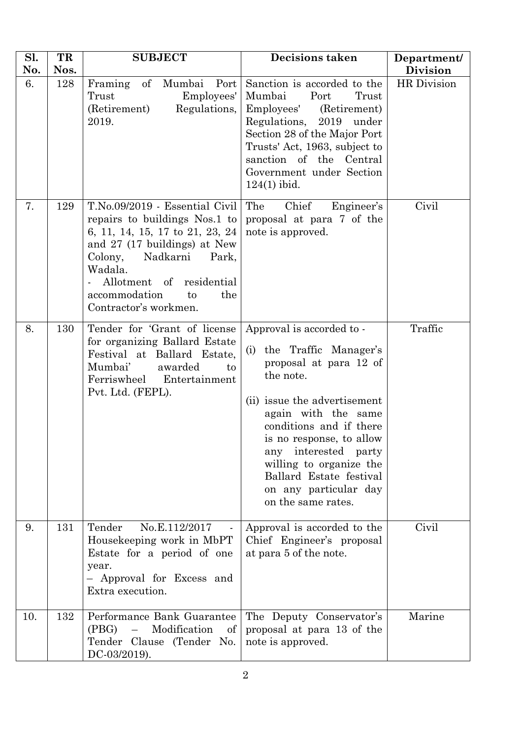| Sl.<br>No. | TR<br>Nos. | <b>SUBJECT</b>                                                                                                                                                                                                                                                   | <b>Decisions taken</b>                                                                                                                                                                                                                                                                                                                      | Department/<br><b>Division</b> |
|------------|------------|------------------------------------------------------------------------------------------------------------------------------------------------------------------------------------------------------------------------------------------------------------------|---------------------------------------------------------------------------------------------------------------------------------------------------------------------------------------------------------------------------------------------------------------------------------------------------------------------------------------------|--------------------------------|
| 6.         | 128        | Framing<br>of Mumbai<br>Port<br>Trust<br>Employees'<br>Regulations,<br>(Retirement)<br>2019.                                                                                                                                                                     | Sanction is accorded to the<br>Mumbai<br>Port<br>Trust<br>Employees'<br>(Retirement)<br>Regulations, 2019 under<br>Section 28 of the Major Port<br>Trusts' Act, 1963, subject to<br>sanction of the Central<br>Government under Section<br>$124(1)$ ibid.                                                                                   | HR Division                    |
| 7.         | 129        | T.No.09/2019 - Essential Civil<br>repairs to buildings Nos.1 to<br>6, 11, 14, 15, 17 to 21, 23, 24<br>and 27 (17 buildings) at New<br>Nadkarni<br>Colony,<br>Park,<br>Wadala.<br>Allotment of residential<br>accommodation<br>the<br>to<br>Contractor's workmen. | Chief<br>Engineer's<br>The<br>proposal at para 7 of the<br>note is approved.                                                                                                                                                                                                                                                                | Civil                          |
| 8.         | 130        | Tender for 'Grant of license<br>for organizing Ballard Estate<br>Festival at Ballard Estate,<br>Mumbai'<br>awarded<br>to<br>Ferriswheel Entertainment<br>Pvt. Ltd. (FEPL).                                                                                       | Approval is accorded to -<br>the Traffic Manager's<br>(i)<br>proposal at para 12 of<br>the note.<br>(ii) issue the advertisement<br>again with the same<br>conditions and if there<br>is no response, to allow<br>any interested party<br>willing to organize the<br>Ballard Estate festival<br>on any particular day<br>on the same rates. | Traffic                        |
| 9.         | 131        | No.E.112/2017<br>Tender<br>Housekeeping work in MbPT<br>Estate for a period of one<br>year.<br>- Approval for Excess and<br>Extra execution.                                                                                                                     | Approval is accorded to the<br>Chief Engineer's proposal<br>at para 5 of the note.                                                                                                                                                                                                                                                          | Civil                          |
| 10.        | 132        | Performance Bank Guarantee<br>Modification<br>(PBG)<br>$\equiv$<br>of<br>Tender Clause (Tender No.<br>DC-03/2019).                                                                                                                                               | The Deputy Conservator's<br>proposal at para 13 of the<br>note is approved.                                                                                                                                                                                                                                                                 | Marine                         |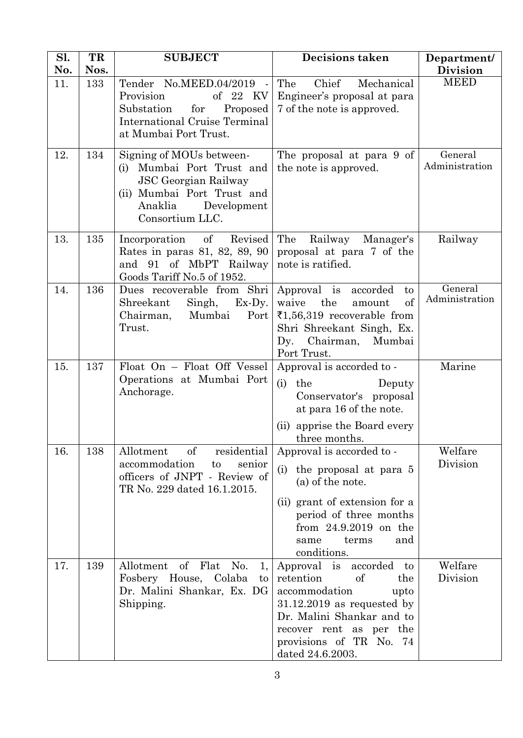| Sl.<br>No. | TR<br>Nos. | <b>SUBJECT</b>                                                                                                                                                     | <b>Decisions taken</b>                                                                                                                                                                                            | Department/<br><b>Division</b> |
|------------|------------|--------------------------------------------------------------------------------------------------------------------------------------------------------------------|-------------------------------------------------------------------------------------------------------------------------------------------------------------------------------------------------------------------|--------------------------------|
| 11.        | 133        | Tender No.MEED.04/2019<br>Provision<br>of 22 KV<br>Substation<br>for<br>Proposed<br><b>International Cruise Terminal</b><br>at Mumbai Port Trust.                  | Chief<br>The<br>Mechanical<br>Engineer's proposal at para<br>7 of the note is approved.                                                                                                                           | <b>MEED</b>                    |
| 12.        | 134        | Signing of MOUs between-<br>Mumbai Port Trust and<br>(i)<br><b>JSC</b> Georgian Railway<br>(ii) Mumbai Port Trust and<br>Anaklia<br>Development<br>Consortium LLC. | The proposal at para 9 of<br>the note is approved.                                                                                                                                                                | General<br>Administration      |
| 13.        | 135        | of<br>Revised<br>Incorporation<br>Rates in paras 81, 82, 89, 90<br>and 91 of MbPT Railway<br>Goods Tariff No.5 of 1952.                                            | The<br>Railway<br>Manager's<br>proposal at para 7 of the<br>note is ratified.                                                                                                                                     | Railway                        |
| 14.        | 136        | Dues recoverable from Shri<br>Shreekant<br>Singh,<br>$Ex-Dy.$<br>Mumbai<br>Port<br>Chairman,<br>Trust.                                                             | Approval is<br>accorded<br>$\mathbf{t}$<br>of<br>the<br>waive<br>amount<br>₹1,56,319 recoverable from<br>Shri Shreekant Singh, Ex.<br>Dy.<br>Chairman,<br>Mumbai<br>Port Trust.                                   | General<br>Administration      |
| 15.        | 137        | Float On - Float Off Vessel<br>Operations at Mumbai Port<br>Anchorage.                                                                                             | Approval is accorded to -<br>(i)<br>the<br>Deputy<br>Conservator's proposal<br>at para 16 of the note.<br>apprise the Board every<br>(ii)<br>three months.                                                        | Marine                         |
| 16.        | 138        | of<br>Allotment<br>residential<br>accommodation<br>to<br>senior<br>officers of JNPT - Review of<br>TR No. 229 dated 16.1.2015.                                     | Approval is accorded to -<br>the proposal at para 5<br>(i)<br>(a) of the note.<br>(ii) grant of extension for a<br>period of three months<br>from $24.9.2019$ on the<br>and<br>terms<br>same<br>conditions.       | Welfare<br>Division            |
| 17.        | 139        | Allotment of Flat No.<br>1,<br>Fosbery House, Colaba<br>to<br>Dr. Malini Shankar, Ex. DG<br>Shipping.                                                              | Approval is accorded to<br>of<br>retention<br>the<br>accommodation<br>upto<br>$31.12.2019$ as requested by<br>Dr. Malini Shankar and to<br>recover rent as per the<br>provisions of TR No. 74<br>dated 24.6.2003. | Welfare<br>Division            |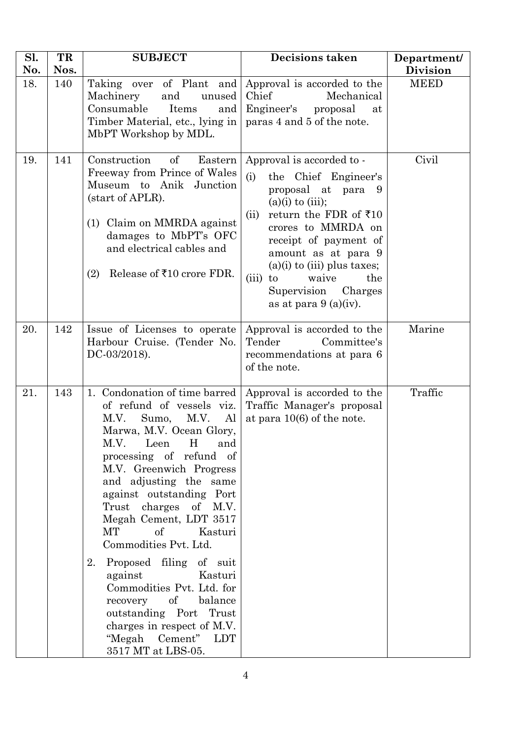| Sl.<br>No. | TR<br>Nos. | <b>SUBJECT</b>                                                                                                                                                                                                                                                                                                                                                                                                                                                                                                                                                                                 | <b>Decisions taken</b>                                                                                                                                                                                                                                                                                                                            | Department/<br><b>Division</b> |
|------------|------------|------------------------------------------------------------------------------------------------------------------------------------------------------------------------------------------------------------------------------------------------------------------------------------------------------------------------------------------------------------------------------------------------------------------------------------------------------------------------------------------------------------------------------------------------------------------------------------------------|---------------------------------------------------------------------------------------------------------------------------------------------------------------------------------------------------------------------------------------------------------------------------------------------------------------------------------------------------|--------------------------------|
| 18.        | 140        | Taking over of Plant and<br>Machinery<br>and<br>unused<br>Consumable<br>Items<br>and<br>Timber Material, etc., lying in<br>MbPT Workshop by MDL.                                                                                                                                                                                                                                                                                                                                                                                                                                               | Approval is accorded to the<br>Chief<br>Mechanical<br>Engineer's proposal<br>at<br>paras 4 and 5 of the note.                                                                                                                                                                                                                                     | <b>MEED</b>                    |
| 19.        | 141        | Construction<br>Eastern<br>of<br>Freeway from Prince of Wales<br>Museum to Anik<br>Junction<br>(start of APLR).<br>(1) Claim on MMRDA against<br>damages to MbPT's OFC<br>and electrical cables and<br>Release of ₹10 crore FDR.<br>(2)                                                                                                                                                                                                                                                                                                                                                        | Approval is accorded to -<br>(i)<br>the Chief Engineer's<br>proposal at para 9<br>$(a)(i)$ to $(iii)$ ;<br>return the FDR of $\overline{510}$<br>(ii)<br>crores to MMRDA on<br>receipt of payment of<br>amount as at para 9<br>$(a)(i)$ to $(iii)$ plus taxes;<br>the<br>waive<br>$(iii)$ to<br>Supervision<br>Charges<br>as at para $9(a)(iv)$ . | Civil                          |
| 20.        | 142        | Issue of Licenses to operate<br>Harbour Cruise. (Tender No.<br>DC-03/2018).                                                                                                                                                                                                                                                                                                                                                                                                                                                                                                                    | Approval is accorded to the<br>Tender<br>Committee's<br>recommendations at para 6<br>of the note.                                                                                                                                                                                                                                                 | Marine                         |
| 21.        | 143        | 1. Condonation of time barred<br>of refund of vessels viz.<br>M.V.<br>Sumo,<br>M.V.<br>Al<br>Marwa, M.V. Ocean Glory,<br>H<br>and<br>M.V.<br>Leen<br>processing of refund of<br>M.V. Greenwich Progress<br>and adjusting the same<br>against outstanding Port<br>Trust<br>charges<br>of M.V.<br>Megah Cement, LDT 3517<br>МT<br>of<br>Kasturi<br>Commodities Pvt. Ltd.<br>2.<br>Proposed filing of suit<br>against<br>Kasturi<br>Commodities Pvt. Ltd. for<br>of<br>balance<br>recovery<br>outstanding Port Trust<br>charges in respect of M.V.<br>"Megah Cement"<br>LDT<br>3517 MT at LBS-05. | Approval is accorded to the<br>Traffic Manager's proposal<br>at para $10(6)$ of the note.                                                                                                                                                                                                                                                         | Traffic                        |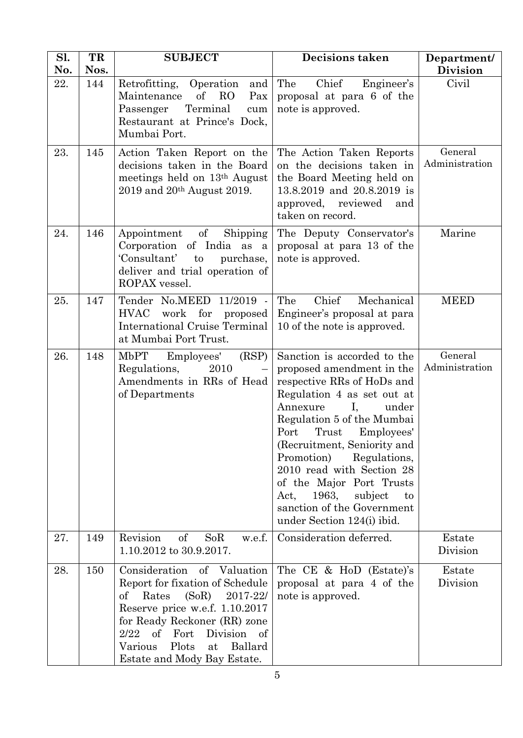| Sl.<br>No. | TR<br>Nos. | <b>SUBJECT</b>                                                                                                                                                                                                                                                                     | <b>Decisions taken</b>                                                                                                                                                                                                                                                                                                                                                                                                           | Department/<br><b>Division</b> |
|------------|------------|------------------------------------------------------------------------------------------------------------------------------------------------------------------------------------------------------------------------------------------------------------------------------------|----------------------------------------------------------------------------------------------------------------------------------------------------------------------------------------------------------------------------------------------------------------------------------------------------------------------------------------------------------------------------------------------------------------------------------|--------------------------------|
| 22.        | 144        | Operation and<br>Retrofitting,<br>Maintenance<br>$\sigma f$<br>R <sub>O</sub><br>Pax<br>Terminal<br>Passenger<br>cum<br>Restaurant at Prince's Dock,<br>Mumbai Port.                                                                                                               | Chief<br>The<br>Engineer's<br>proposal at para 6 of the<br>note is approved.                                                                                                                                                                                                                                                                                                                                                     | Civil                          |
| 23.        | 145        | Action Taken Report on the<br>decisions taken in the Board<br>meetings held on 13th August<br>$2019$ and $20^{th}$ August 2019.                                                                                                                                                    | The Action Taken Reports<br>on the decisions taken in<br>the Board Meeting held on<br>13.8.2019 and 20.8.2019 is<br>approved, reviewed<br>and<br>taken on record.                                                                                                                                                                                                                                                                | General<br>Administration      |
| 24.        | 146        | $\sigma f$<br>Appointment<br>Shipping<br>Corporation of India as a<br>'Consultant'<br>purchase,<br>to<br>deliver and trial operation of<br>ROPAX vessel.                                                                                                                           | The Deputy Conservator's<br>proposal at para 13 of the<br>note is approved.                                                                                                                                                                                                                                                                                                                                                      | Marine                         |
| 25.        | 147        | Tender No.MEED<br>11/2019 -<br>work for<br><b>HVAC</b><br>proposed<br><b>International Cruise Terminal</b><br>at Mumbai Port Trust.                                                                                                                                                | Chief<br>The<br>Mechanical<br>Engineer's proposal at para<br>10 of the note is approved.                                                                                                                                                                                                                                                                                                                                         | <b>MEED</b>                    |
| 26.        | 148        | (RSP)<br>MbPT<br>Employees'<br>Regulations,<br>2010<br>Amendments in RRs of Head<br>of Departments                                                                                                                                                                                 | Sanction is accorded to the<br>proposed amendment in the<br>respective RRs of HoDs and<br>Regulation 4 as set out at<br>Annexure<br>under<br>Ι,<br>Regulation 5 of the Mumbai<br>Port<br>Trust<br>Employees'<br>(Recruitment, Seniority and<br>Promotion)<br>Regulations,<br>2010 read with Section 28<br>of the Major Port Trusts<br>1963,<br>subject<br>Act,<br>to<br>sanction of the Government<br>under Section 124(i) ibid. | General<br>Administration      |
| 27.        | 149        | Revision<br><sub>of</sub><br>SoR<br>w.e.f.<br>1.10.2012 to 30.9.2017.                                                                                                                                                                                                              | Consideration deferred.                                                                                                                                                                                                                                                                                                                                                                                                          | Estate<br>Division             |
| 28.        | 150        | Consideration of Valuation<br>Report for fixation of Schedule<br>Rates<br>(SoR)<br>2017-22/<br>οf<br>Reserve price w.e.f. 1.10.2017<br>for Ready Reckoner (RR) zone<br>2/22<br>Division of<br>of<br>$\rm Fort$<br>Plots<br>Ballard<br>Various<br>at<br>Estate and Mody Bay Estate. | The CE & HoD (Estate)'s<br>proposal at para 4 of the<br>note is approved.                                                                                                                                                                                                                                                                                                                                                        | Estate<br>Division             |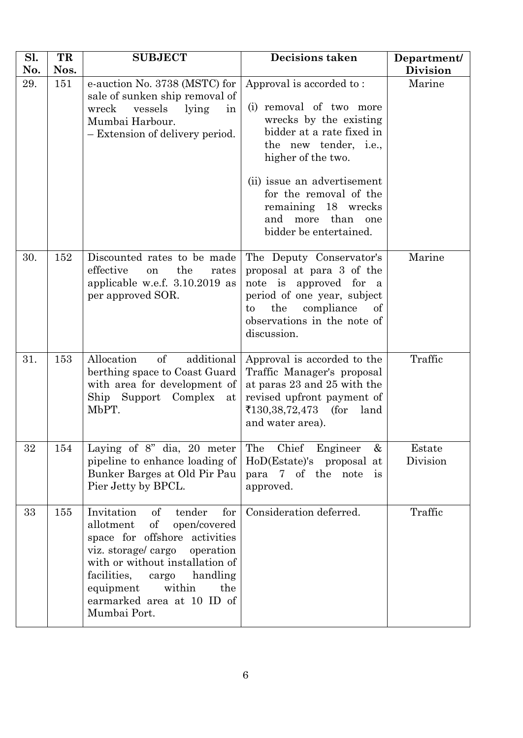| Sl.<br>No. | TR<br>Nos. | <b>SUBJECT</b>                                                                                                                                                                                                                                                                                         | <b>Decisions taken</b>                                                                                                                                                                                                                                                                         | Department/<br><b>Division</b> |
|------------|------------|--------------------------------------------------------------------------------------------------------------------------------------------------------------------------------------------------------------------------------------------------------------------------------------------------------|------------------------------------------------------------------------------------------------------------------------------------------------------------------------------------------------------------------------------------------------------------------------------------------------|--------------------------------|
| 29.        | 151        | e-auction No. 3738 (MSTC) for<br>sale of sunken ship removal of<br>wreck<br>vessels<br>lying<br>in<br>Mumbai Harbour.<br>- Extension of delivery period.                                                                                                                                               | Approval is accorded to:<br>(i) removal of two more<br>wrecks by the existing<br>bidder at a rate fixed in<br>the new tender, i.e.,<br>higher of the two.<br>(ii) issue an advertisement<br>for the removal of the<br>remaining 18 wrecks<br>and<br>more than<br>one<br>bidder be entertained. | Marine                         |
| 30.        | 152        | Discounted rates to be made<br>effective<br>the<br>rates<br>on<br>applicable w.e.f. 3.10.2019 as<br>per approved SOR.                                                                                                                                                                                  | The Deputy Conservator's<br>proposal at para 3 of the<br>note is approved for a<br>period of one year, subject<br>compliance<br>the<br>of<br>to<br>observations in the note of<br>discussion.                                                                                                  | Marine                         |
| 31.        | 153        | <sub>of</sub><br>Allocation<br>additional<br>berthing space to Coast Guard<br>with area for development of<br>Complex<br>Ship Support<br>at<br>MbPT.                                                                                                                                                   | Approval is accorded to the<br>Traffic Manager's proposal<br>at paras 23 and 25 with the<br>revised upfront payment of<br>₹130,38,72,473 (for<br>land<br>and water area).                                                                                                                      | Traffic                        |
| 32         | 154        | Laying of $8$ " dia, 20 meter<br>pipeline to enhance loading of<br>Bunker Barges at Old Pir Pau<br>Pier Jetty by BPCL.                                                                                                                                                                                 | The<br>Chief Engineer<br>&<br>HoD(Estate)'s proposal at<br>para 7 of the<br>note<br>$\mathbf{1}\mathbf{s}$<br>approved.                                                                                                                                                                        | Estate<br>Division             |
| 33         | 155        | for<br>Invitation<br>$\mathrm{of}$<br>tender<br>of<br>open/covered<br>allotment<br>space for offshore activities<br>viz. storage/cargo<br>operation<br>with or without installation of<br>facilities,<br>handling<br>cargo<br>equipment<br>within<br>the<br>earmarked area at 10 ID of<br>Mumbai Port. | Consideration deferred.                                                                                                                                                                                                                                                                        | Traffic                        |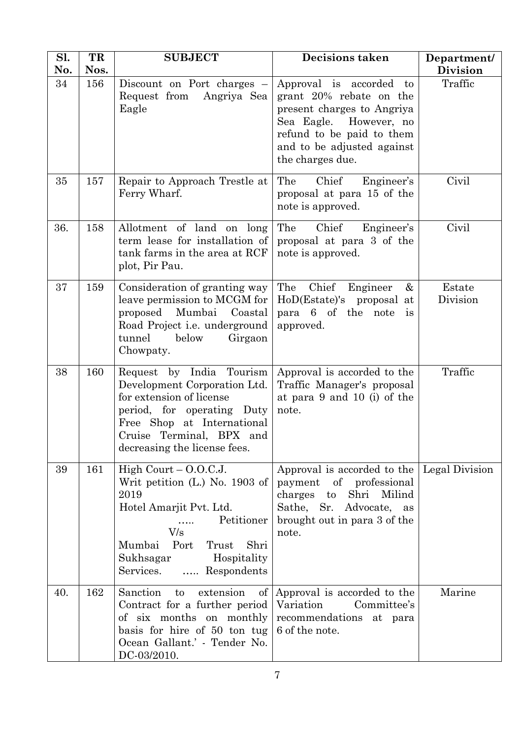| Sl.<br>No. | TR<br>Nos. | <b>SUBJECT</b>                                                                                                                                                                                               | <b>Decisions taken</b>                                                                                                                                                                          | Department/<br><b>Division</b> |
|------------|------------|--------------------------------------------------------------------------------------------------------------------------------------------------------------------------------------------------------------|-------------------------------------------------------------------------------------------------------------------------------------------------------------------------------------------------|--------------------------------|
| 34         | 156        | Discount on Port charges $-$<br>Request from<br>Angriya Sea<br>Eagle                                                                                                                                         | Approval is accorded<br>to<br>grant 20% rebate on the<br>present charges to Angriya<br>Sea Eagle.<br>However, no<br>refund to be paid to them<br>and to be adjusted against<br>the charges due. | Traffic                        |
| 35         | 157        | Repair to Approach Trestle at<br>Ferry Wharf.                                                                                                                                                                | Chief<br>The<br>Engineer's<br>proposal at para 15 of the<br>note is approved.                                                                                                                   | Civil                          |
| 36.        | 158        | Allotment of land on long<br>term lease for installation of<br>tank farms in the area at RCF<br>plot, Pir Pau.                                                                                               | The<br>Chief<br>Engineer's<br>proposal at para 3 of the<br>note is approved.                                                                                                                    | Civil                          |
| 37         | 159        | Consideration of granting way<br>leave permission to MCGM for<br>proposed<br>Mumbai<br>Coastal<br>Road Project <i>i.e.</i> underground<br>tunnel<br>below<br>Girgaon<br>Chowpaty.                            | Chief Engineer<br>The<br>&<br>HoD(Estate)'s<br>proposal at<br>para 6 of the note<br>is<br>approved.                                                                                             | Estate<br>Division             |
| 38         | 160        | Request by India Tourism<br>Development Corporation Ltd.<br>for extension of license<br>period, for operating Duty<br>Free Shop at International<br>Cruise Terminal, BPX and<br>decreasing the license fees. | Approval is accorded to the<br>Traffic Manager's proposal<br>at para 9 and 10 (i) of the<br>note.                                                                                               | Traffic                        |
| 39         | 161        | High Court $-$ O.O.C.J.<br>Writ petition (L.) No. 1903 of<br>2019<br>Hotel Amarjit Pvt. Ltd.<br>Petitioner<br>V/s<br>Port<br>Shri<br>Mumbai<br>Trust<br>Hospitality<br>Sukhsagar<br>Services.<br>Respondents | Approval is accorded to the<br>of professional<br>payment<br>Milind<br>charges<br>Shri<br>$\mathbf{t}$<br>Sathe, Sr. Advocate,<br>as<br>brought out in para 3 of the<br>note.                   | Legal Division                 |
| 40.        | 162        | Sanction<br>to<br>extension<br>Contract for a further period<br>of six months on monthly<br>basis for hire of 50 ton tug<br>Ocean Gallant.' - Tender No.<br>DC-03/2010.                                      | of Approval is accorded to the<br>Variation<br>Committee's<br>recommendations at para<br>6 of the note.                                                                                         | Marine                         |